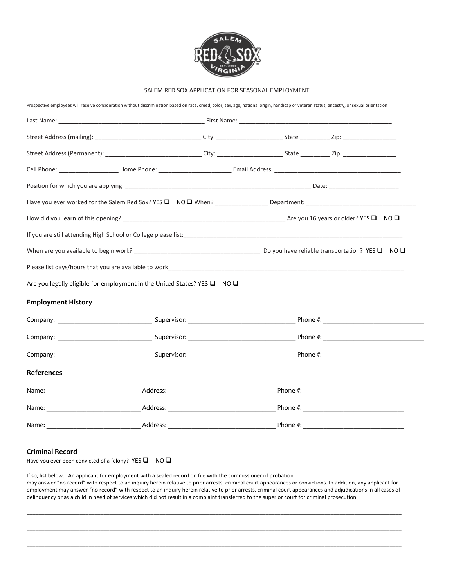

## SALEM RED SOX APPLICATION FOR SEASONAL EMPLOYMENT

Prospective employees will receive consideration without discrimination based on race, creed, color, sex, age, national origin, handicap or veteran status, ancestry, or sexual orientation

| Are you legally eligible for employment in the United States? YES $\square$ NO $\square$ |  |  |  |  |
|------------------------------------------------------------------------------------------|--|--|--|--|
| <b>Employment History</b>                                                                |  |  |  |  |
|                                                                                          |  |  |  |  |
|                                                                                          |  |  |  |  |
|                                                                                          |  |  |  |  |
| References                                                                               |  |  |  |  |
|                                                                                          |  |  |  |  |
|                                                                                          |  |  |  |  |
|                                                                                          |  |  |  |  |

## **Criminal Record**

Have you ever been convicted of a felony? YES  $\Box$  NO  $\Box$ 

If so, list below. An applicant for employment with a sealed record on file with the commissioner of probation may answer "no record" with respect to an inquiry herein relative to prior arrests, criminal court appearances or convictions. In addition, any applicant for employment may answer "no record" with respect to an inquiry herein relative to prior arrests, criminal court appearances and adjudications in all cases of delinquency or as a child in need of services which did not result in a complaint transferred to the superior court for criminal prosecution.

\_\_\_\_\_\_\_\_\_\_\_\_\_\_\_\_\_\_\_\_\_\_\_\_\_\_\_\_\_\_\_\_\_\_\_\_\_\_\_\_\_\_\_\_\_\_\_\_\_\_\_\_\_\_\_\_\_\_\_\_\_\_\_\_\_\_\_\_\_\_\_\_\_\_\_\_\_\_\_\_\_\_\_\_\_\_\_\_\_\_\_\_\_\_\_\_\_\_\_\_\_\_\_\_\_\_\_\_\_\_\_\_\_\_\_\_\_\_\_\_\_\_\_\_\_\_\_

\_\_\_\_\_\_\_\_\_\_\_\_\_\_\_\_\_\_\_\_\_\_\_\_\_\_\_\_\_\_\_\_\_\_\_\_\_\_\_\_\_\_\_\_\_\_\_\_\_\_\_\_\_\_\_\_\_\_\_\_\_\_\_\_\_\_\_\_\_\_\_\_\_\_\_\_\_\_\_\_\_\_\_\_\_\_\_\_\_\_\_\_\_\_\_\_\_\_\_\_\_\_\_\_\_\_\_\_\_\_\_\_\_\_\_\_\_\_\_\_\_\_\_\_\_\_\_

\_\_\_\_\_\_\_\_\_\_\_\_\_\_\_\_\_\_\_\_\_\_\_\_\_\_\_\_\_\_\_\_\_\_\_\_\_\_\_\_\_\_\_\_\_\_\_\_\_\_\_\_\_\_\_\_\_\_\_\_\_\_\_\_\_\_\_\_\_\_\_\_\_\_\_\_\_\_\_\_\_\_\_\_\_\_\_\_\_\_\_\_\_\_\_\_\_\_\_\_\_\_\_\_\_\_\_\_\_\_\_\_\_\_\_\_\_\_\_\_\_\_\_\_\_\_\_